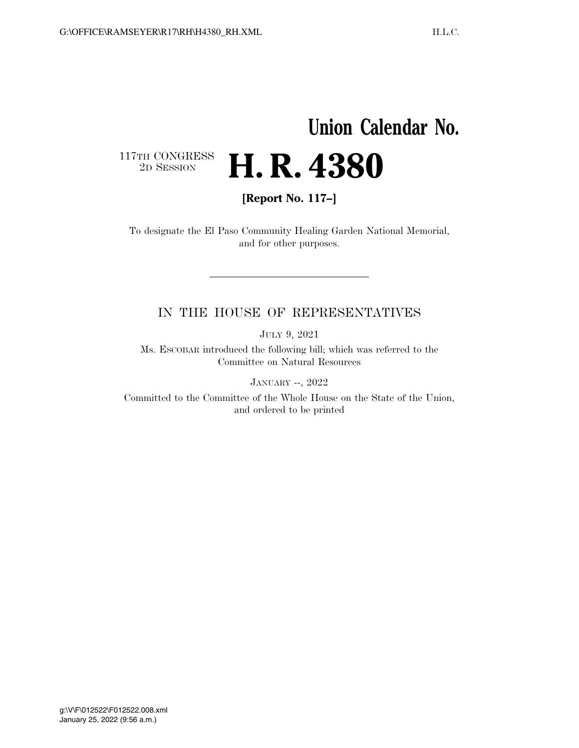## **Union Calendar No.**

 $\begin{array}{c} \textbf{117TH CONGRESS} \\ \textbf{2D} \textbf{Session} \end{array}$ 

**[Report No. 117–]** 

2D SESSION **H. R. 4380** 

To designate the El Paso Community Healing Garden National Memorial, and for other purposes.

## IN THE HOUSE OF REPRESENTATIVES

JULY 9, 2021

Ms. ESCOBAR introduced the following bill; which was referred to the Committee on Natural Resources

JANUARY --, 2022

Committed to the Committee of the Whole House on the State of the Union, and ordered to be printed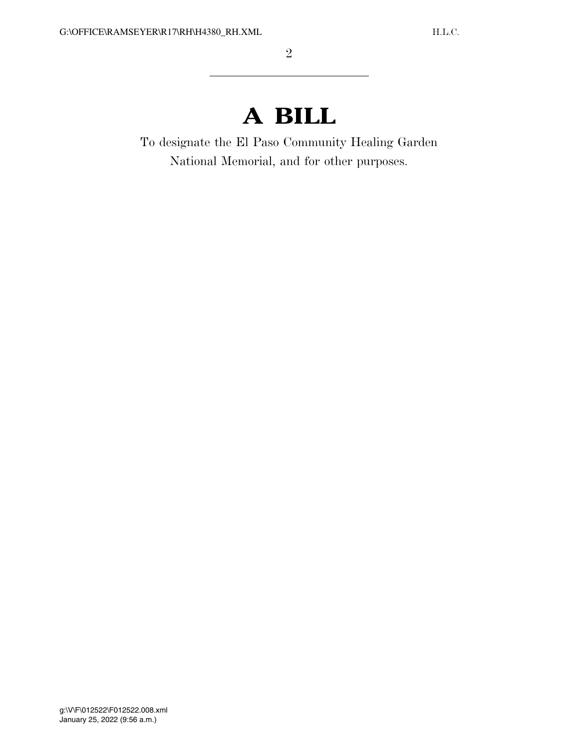## **A BILL**

To designate the El Paso Community Healing Garden National Memorial, and for other purposes.